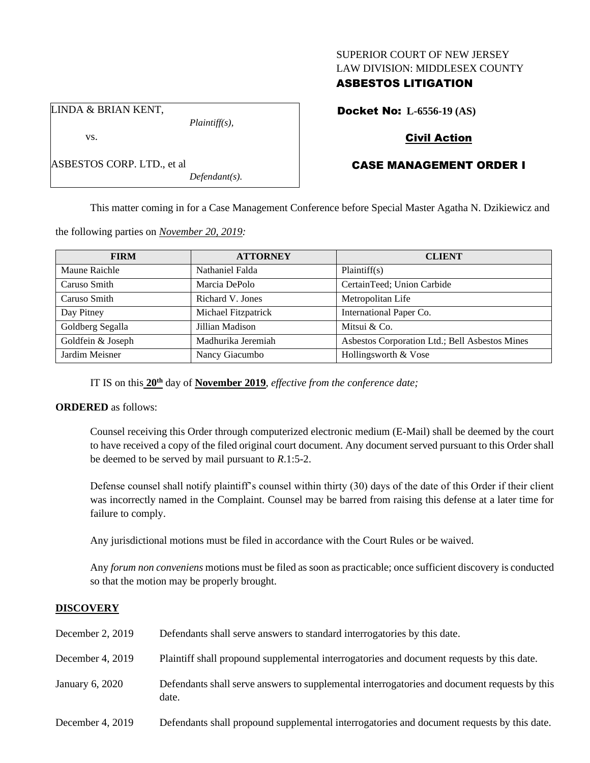### SUPERIOR COURT OF NEW JERSEY LAW DIVISION: MIDDLESEX COUNTY

## ASBESTOS LITIGATION

Docket No: **L-6556-19 (AS)**

LINDA & BRIAN KENT,

ASBESTOS CORP. LTD., et al

vs.

*Plaintiff(s),*

*Defendant(s).*

# Civil Action

## CASE MANAGEMENT ORDER I

This matter coming in for a Case Management Conference before Special Master Agatha N. Dzikiewicz and

the following parties on *November 20, 2019:*

| <b>FIRM</b>       | <b>ATTORNEY</b>     | <b>CLIENT</b>                                  |  |  |
|-------------------|---------------------|------------------------------------------------|--|--|
| Maune Raichle     | Nathaniel Falda     | Plaintiff(s)                                   |  |  |
| Caruso Smith      | Marcia DePolo       | CertainTeed; Union Carbide                     |  |  |
| Caruso Smith      | Richard V. Jones    | Metropolitan Life                              |  |  |
| Day Pitney        | Michael Fitzpatrick | International Paper Co.                        |  |  |
| Goldberg Segalla  | Jillian Madison     | Mitsui & Co.                                   |  |  |
| Goldfein & Joseph | Madhurika Jeremiah  | Asbestos Corporation Ltd.; Bell Asbestos Mines |  |  |
| Jardim Meisner    | Nancy Giacumbo      | Hollingsworth & Vose                           |  |  |

IT IS on this **20th** day of **November 2019**, *effective from the conference date;*

## **ORDERED** as follows:

Counsel receiving this Order through computerized electronic medium (E-Mail) shall be deemed by the court to have received a copy of the filed original court document. Any document served pursuant to this Order shall be deemed to be served by mail pursuant to *R*.1:5-2.

Defense counsel shall notify plaintiff's counsel within thirty (30) days of the date of this Order if their client was incorrectly named in the Complaint. Counsel may be barred from raising this defense at a later time for failure to comply.

Any jurisdictional motions must be filed in accordance with the Court Rules or be waived.

Any *forum non conveniens* motions must be filed as soon as practicable; once sufficient discovery is conducted so that the motion may be properly brought.

## **DISCOVERY**

| December 2, 2019 | Defendants shall serve answers to standard interrogatories by this date.                              |
|------------------|-------------------------------------------------------------------------------------------------------|
| December 4, 2019 | Plaintiff shall propound supplemental interrogatories and document requests by this date.             |
| January 6, 2020  | Defendants shall serve answers to supplemental interrogatories and document requests by this<br>date. |
| December 4, 2019 | Defendants shall propound supplemental interrogatories and document requests by this date.            |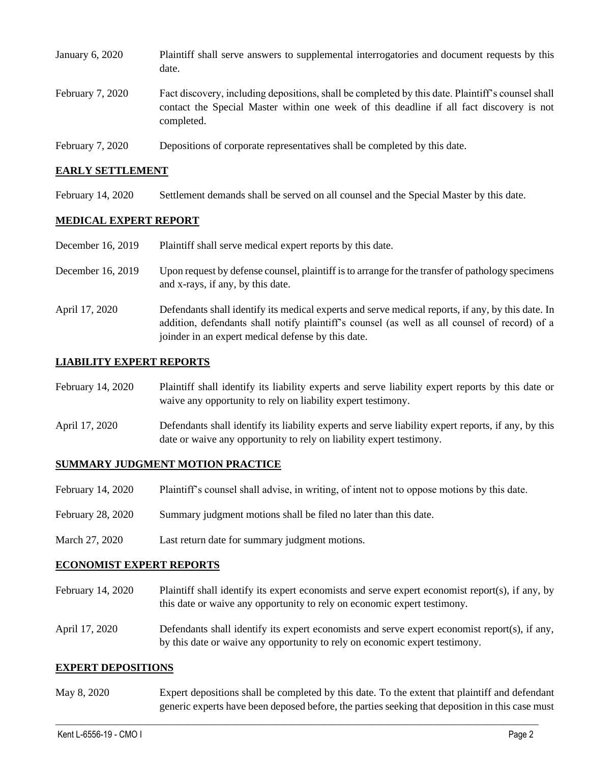| January 6, 2020  | Plaintiff shall serve answers to supplemental interrogatories and document requests by this<br>date.                                                                                                        |
|------------------|-------------------------------------------------------------------------------------------------------------------------------------------------------------------------------------------------------------|
| February 7, 2020 | Fact discovery, including depositions, shall be completed by this date. Plaintiff's counsel shall<br>contact the Special Master within one week of this deadline if all fact discovery is not<br>completed. |
| February 7, 2020 | Depositions of corporate representatives shall be completed by this date.                                                                                                                                   |

#### **EARLY SETTLEMENT**

February 14, 2020 Settlement demands shall be served on all counsel and the Special Master by this date.

#### **MEDICAL EXPERT REPORT**

| December 16, 2019 | Plaintiff shall serve medical expert reports by this date.                                                                                                                                         |  |  |
|-------------------|----------------------------------------------------------------------------------------------------------------------------------------------------------------------------------------------------|--|--|
| December 16, 2019 | Upon request by defense counsel, plaintiff is to arrange for the transfer of pathology specimens<br>and x-rays, if any, by this date.                                                              |  |  |
| April 17, 2020    | Defendants shall identify its medical experts and serve medical reports, if any, by this date. In<br>addition, defendants shall notify plaintiff's counsel (as well as all counsel of record) of a |  |  |

joinder in an expert medical defense by this date.

#### **LIABILITY EXPERT REPORTS**

| February 14, 2020 | Plaintiff shall identify its liability experts and serve liability expert reports by this date or<br>waive any opportunity to rely on liability expert testimony.           |
|-------------------|-----------------------------------------------------------------------------------------------------------------------------------------------------------------------------|
| April 17, 2020    | Defendants shall identify its liability experts and serve liability expert reports, if any, by this<br>date or waive any opportunity to rely on liability expert testimony. |

#### **SUMMARY JUDGMENT MOTION PRACTICE**

| February 14, 2020 | Plaintiff's counsel shall advise, in writing, of intent not to oppose motions by this date. |  |  |
|-------------------|---------------------------------------------------------------------------------------------|--|--|
|                   |                                                                                             |  |  |

- February 28, 2020 Summary judgment motions shall be filed no later than this date.
- March 27, 2020 Last return date for summary judgment motions.

#### **ECONOMIST EXPERT REPORTS**

- February 14, 2020 Plaintiff shall identify its expert economists and serve expert economist report(s), if any, by this date or waive any opportunity to rely on economic expert testimony.
- April 17, 2020 Defendants shall identify its expert economists and serve expert economist report(s), if any, by this date or waive any opportunity to rely on economic expert testimony.

#### **EXPERT DEPOSITIONS**

May 8, 2020 Expert depositions shall be completed by this date. To the extent that plaintiff and defendant generic experts have been deposed before, the parties seeking that deposition in this case must

 $\_$  , and the set of the set of the set of the set of the set of the set of the set of the set of the set of the set of the set of the set of the set of the set of the set of the set of the set of the set of the set of th